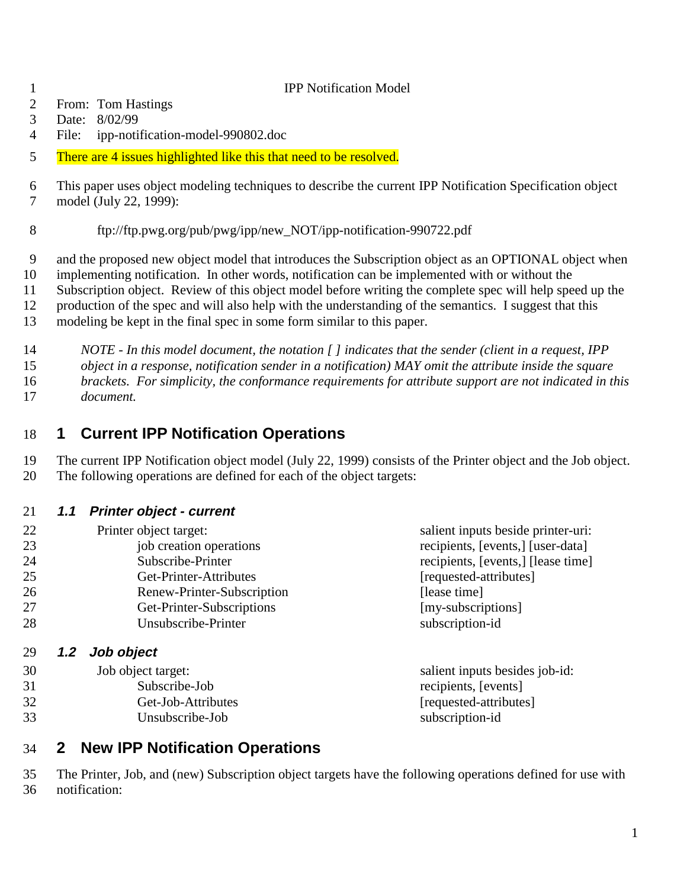#### **IPP Notification Model**

- From: Tom Hastings
- Date: 8/02/99
- File: ipp-notification-model-990802.doc
- 5 There are 4 issues highlighted like this that need to be resolved.
- This paper uses object modeling techniques to describe the current IPP Notification Specification object model (July 22, 1999):
- ftp://ftp.pwg.org/pub/pwg/ipp/new\_NOT/ipp-notification-990722.pdf
- and the proposed new object model that introduces the Subscription object as an OPTIONAL object when
- implementing notification. In other words, notification can be implemented with or without the
- Subscription object. Review of this object model before writing the complete spec will help speed up the
- production of the spec and will also help with the understanding of the semantics. I suggest that this
- modeling be kept in the final spec in some form similar to this paper.
- *NOTE In this model document, the notation [ ] indicates that the sender (client in a request, IPP*
- *object in a response, notification sender in a notification) MAY omit the attribute inside the square*
- *brackets. For simplicity, the conformance requirements for attribute support are not indicated in this*
- *document.*

## **1 Current IPP Notification Operations**

 The current IPP Notification object model (July 22, 1999) consists of the Printer object and the Job object. The following operations are defined for each of the object targets:

### **1.1 Printer object - current**

| 22 | Printer object target:         | salient inputs beside printer-uri: |
|----|--------------------------------|------------------------------------|
| 23 | job creation operations        | recipients, [events,] [user-data]  |
| 24 | Subscribe-Printer              | recipients, [events,] [lease time] |
| 25 | Get-Printer-Attributes         | [requested-attributes]             |
| 26 | Renew-Printer-Subscription     | [lease time]                       |
| 27 | Get-Printer-Subscriptions      | [my-subscriptions]                 |
| 28 | Unsubscribe-Printer            | subscription-id                    |
| 29 | Job object<br>1.2 <sub>2</sub> |                                    |
| 30 | Job object target:             | salient inputs besides job-id:     |
|    |                                |                                    |

 Subscribe-Job recipients, [events] 32 Get-Job-Attributes [requested-attributes] Unsubscribe-Job subscription-id

## **2 New IPP Notification Operations**

 The Printer, Job, and (new) Subscription object targets have the following operations defined for use with notification: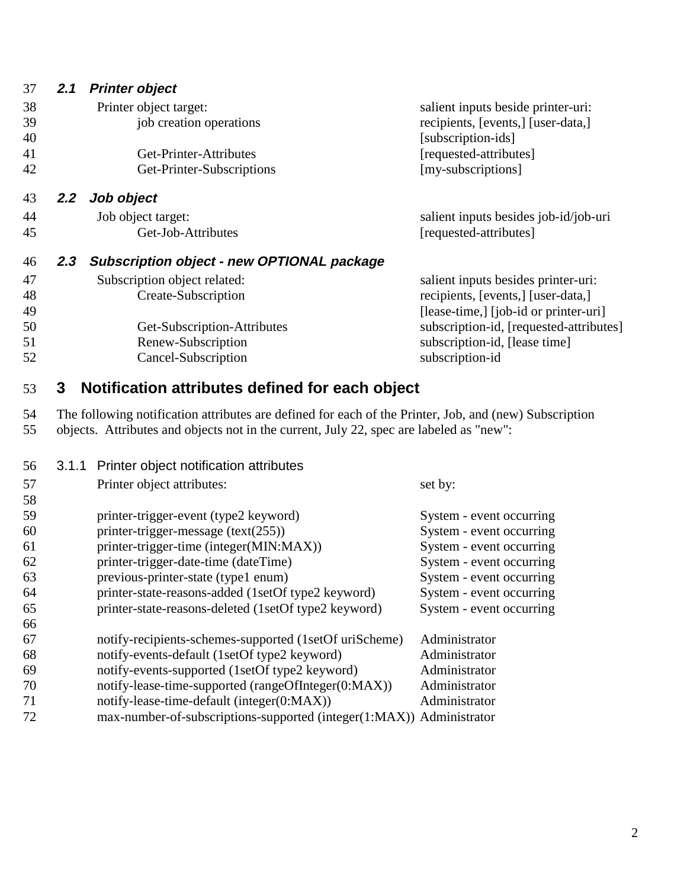| 37 | 2.1           | Printer object                                                                                         |                                         |
|----|---------------|--------------------------------------------------------------------------------------------------------|-----------------------------------------|
| 38 |               | Printer object target:                                                                                 | salient inputs beside printer-uri:      |
| 39 |               | job creation operations                                                                                | recipients, [events,] [user-data,]      |
| 40 |               |                                                                                                        | [subscription-ids]                      |
| 41 |               | Get-Printer-Attributes                                                                                 | [requested-attributes]                  |
| 42 |               | Get-Printer-Subscriptions                                                                              | [my-subscriptions]                      |
| 43 | $2.2^{\circ}$ | Job object                                                                                             |                                         |
| 44 |               | Job object target:                                                                                     | salient inputs besides job-id/job-uri   |
| 45 |               | Get-Job-Attributes                                                                                     | [requested-attributes]                  |
| 46 | 2.3           | <b>Subscription object - new OPTIONAL package</b>                                                      |                                         |
| 47 |               | Subscription object related:                                                                           | salient inputs besides printer-uri:     |
| 48 |               | Create-Subscription                                                                                    | recipients, [events,] [user-data,]      |
| 49 |               |                                                                                                        | [lease-time,] [job-id or printer-uri]   |
| 50 |               | Get-Subscription-Attributes                                                                            | subscription-id, [requested-attributes] |
| 51 |               | Renew-Subscription                                                                                     | subscription-id, [lease time]           |
| 52 |               | Cancel-Subscription                                                                                    | subscription-id                         |
| 53 | 3             | Notification attributes defined for each object                                                        |                                         |
| 54 |               | The following notification attributes are defined for each of the Printer, Job, and (new) Subscription |                                         |
| 55 |               | objects. Attributes and objects not in the current, July 22, spec are labeled as "new":                |                                         |

| Printer object attributes:                             | set by:                                      |
|--------------------------------------------------------|----------------------------------------------|
|                                                        |                                              |
| printer-trigger-event (type2 keyword)                  | System - event occurring                     |
| printer-trigger-message $(text(255))$                  | System - event occurring                     |
| printer-trigger-time (integer(MIN:MAX))                | System - event occurring                     |
| printer-trigger-date-time (dateTime)                   | System - event occurring                     |
| previous-printer-state (type1 enum)                    | System - event occurring                     |
| printer-state-reasons-added (1setOf type2 keyword)     | System - event occurring                     |
| printer-state-reasons-deleted (1setOf type2 keyword)   | System - event occurring                     |
|                                                        |                                              |
| notify-recipients-schemes-supported (1setOf uriScheme) | Administrator                                |
| notify-events-default (1setOf type2 keyword)           | Administrator                                |
| notify-events-supported (1setOf type2 keyword)         | Administrator                                |
| notify-lease-time-supported (rangeOfInteger(0:MAX))    | Administrator                                |
| notify-lease-time-default (integer(0:MAX))             | Administrator                                |
| max-number-of-subscriptions-supported (integer(1:MAX)) | Administrator                                |
|                                                        | 3.1.1 Printer object notification attributes |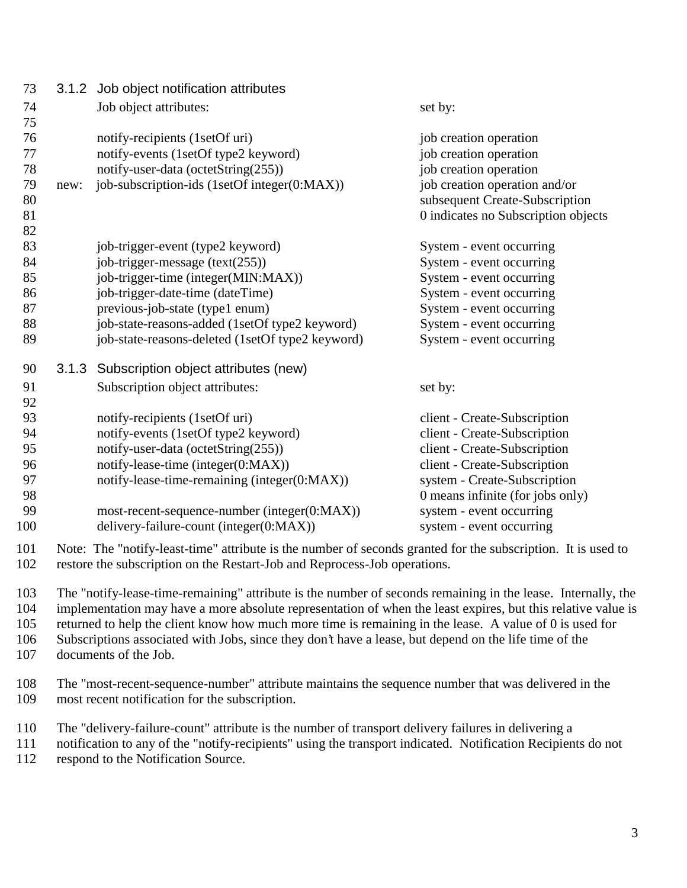| 73  |      | 3.1.2 Job object notification attributes         |                                     |
|-----|------|--------------------------------------------------|-------------------------------------|
| 74  |      | Job object attributes:                           | set by:                             |
| 75  |      |                                                  |                                     |
| 76  |      | notify-recipients (1setOf uri)                   | job creation operation              |
| 77  |      | notify-events (1setOf type2 keyword)             | job creation operation              |
| 78  |      | notify-user-data (octetString(255))              | job creation operation              |
| 79  | new: | job-subscription-ids (1setOf integer(0:MAX))     | job creation operation and/or       |
| 80  |      |                                                  | subsequent Create-Subscription      |
| 81  |      |                                                  | 0 indicates no Subscription objects |
| 82  |      |                                                  |                                     |
| 83  |      | job-trigger-event (type2 keyword)                | System - event occurring            |
| 84  |      | job-trigger-message $(text(255))$                | System - event occurring            |
| 85  |      | job-trigger-time (integer(MIN:MAX))              | System - event occurring            |
| 86  |      | job-trigger-date-time (dateTime)                 | System - event occurring            |
| 87  |      | previous-job-state (type1 enum)                  | System - event occurring            |
| 88  |      | job-state-reasons-added (1setOf type2 keyword)   | System - event occurring            |
| 89  |      | job-state-reasons-deleted (1setOf type2 keyword) | System - event occurring            |
| 90  |      | 3.1.3 Subscription object attributes (new)       |                                     |
| 91  |      | Subscription object attributes:                  | set by:                             |
| 92  |      |                                                  |                                     |
| 93  |      | notify-recipients (1setOf uri)                   | client - Create-Subscription        |
| 94  |      | notify-events (1setOf type2 keyword)             | client - Create-Subscription        |
| 95  |      | notify-user-data (octetString(255))              | client - Create-Subscription        |
| 96  |      | notify-lease-time (integer(0:MAX))               | client - Create-Subscription        |
| 97  |      | notify-lease-time-remaining (integer(0:MAX))     | system - Create-Subscription        |
| 98  |      |                                                  | 0 means infinite (for jobs only)    |
| 99  |      | most-recent-sequence-number (integer(0:MAX))     | system - event occurring            |
| 100 |      | delivery-failure-count (integer(0:MAX))          | system - event occurring            |
|     |      |                                                  |                                     |

 Note: The "notify-least-time" attribute is the number of seconds granted for the subscription. It is used to restore the subscription on the Restart-Job and Reprocess-Job operations.

 The "notify-lease-time-remaining" attribute is the number of seconds remaining in the lease. Internally, the implementation may have a more absolute representation of when the least expires, but this relative value is returned to help the client know how much more time is remaining in the lease. A value of 0 is used for Subscriptions associated with Jobs, since they don't have a lease, but depend on the life time of the documents of the Job.

 The "most-recent-sequence-number" attribute maintains the sequence number that was delivered in the most recent notification for the subscription.

The "delivery-failure-count" attribute is the number of transport delivery failures in delivering a

notification to any of the "notify-recipients" using the transport indicated. Notification Recipients do not

respond to the Notification Source.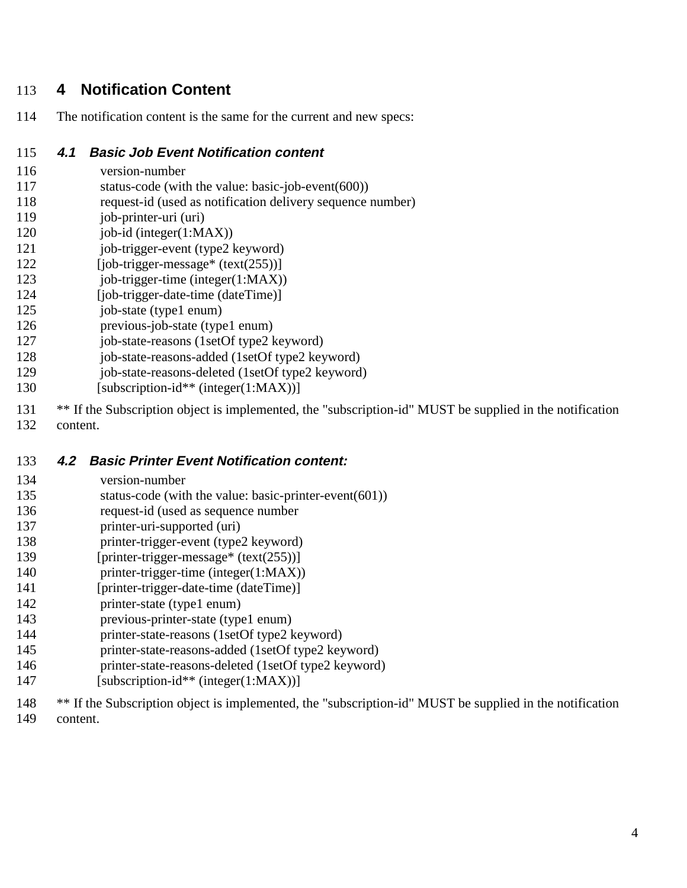## 113 **4 Notification Content**

114 The notification content is the same for the current and new specs:

#### 115 **4.1 Basic Job Event Notification content**

- 116 version-number
- 117 status-code (with the value: basic-job-event(600))
- 118 request-id (used as notification delivery sequence number)
- 119 iob-printer-uri (uri)
- 120 job-id (integer(1:MAX))
- 121 job-trigger-event (type2 keyword)
- $122$  [job-trigger-message\* (text(255))]
- 123 job-trigger-time (integer(1:MAX))
- 124 [job-trigger-date-time (dateTime)]
- 125 job-state (type1 enum)
- 126 previous-job-state (type1 enum)
- 127 job-state-reasons (1setOf type2 keyword)
- 128 job-state-reasons-added (1setOf type2 keyword)
- 129 iob-state-reasons-deleted (1setOf type2 keyword)
- 130 [subscription-id\*\* (integer(1:MAX))]
- 131 \*\* If the Subscription object is implemented, the "subscription-id" MUST be supplied in the notification
- 132 content.

### 133 **4.2 Basic Printer Event Notification content:**

- 134 version-number
- 135 status-code (with the value: basic-printer-event(601))
- 136 request-id (used as sequence number
- 137 printer-uri-supported (uri)
- 138 printer-trigger-event (type2 keyword)
- 139 [printer-trigger-message\* (text(255))]
- 140 printer-trigger-time (integer(1:MAX))
- 141 [printer-trigger-date-time (dateTime)]
- 142 printer-state (type1 enum)
- 143 previous-printer-state (type1 enum)
- 144 printer-state-reasons (1setOf type2 keyword)
- 145 printer-state-reasons-added (1setOf type2 keyword)
- 146 printer-state-reasons-deleted (1setOf type2 keyword)
- 147 [subscription-id\*\* (integer(1:MAX))]
- 148 \*\* If the Subscription object is implemented, the "subscription-id" MUST be supplied in the notification
- 149 content.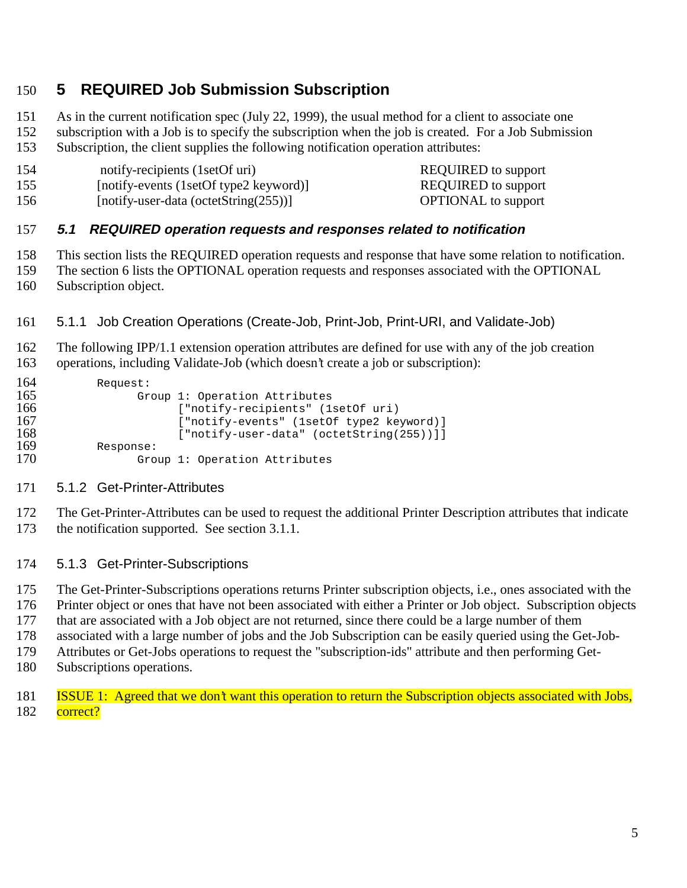## **5 REQUIRED Job Submission Subscription**

 As in the current notification spec (July 22, 1999), the usual method for a client to associate one subscription with a Job is to specify the subscription when the job is created. For a Job Submission Subscription, the client supplies the following notification operation attributes:

- 154 notify-recipients (1setOf uri) REQUIRED to support [notify-events (1setOf type2 keyword)] REQUIRED to support
- 156 [notify-user-data (octetString(255))] OPTIONAL to support

### **5.1 REQUIRED operation requests and responses related to notification**

This section lists the REQUIRED operation requests and response that have some relation to notification.

- The section 6 lists the OPTIONAL operation requests and responses associated with the OPTIONAL
- Subscription object.
- 5.1.1 Job Creation Operations (Create-Job, Print-Job, Print-URI, and Validate-Job)

 The following IPP/1.1 extension operation attributes are defined for use with any of the job creation operations, including Validate-Job (which doesn't create a job or subscription):

| 164 | Request:                                  |
|-----|-------------------------------------------|
| 165 | Group 1: Operation Attributes             |
| 166 | ["notify-recipients" (1setOf uri)         |
| 167 | ["notify-events" (1setOf type2 keyword)]  |
| 168 | $["notify-user-data" (octetString(255))]$ |
| 169 | Response:                                 |
| 170 | Group 1: Operation Attributes             |

#### 5.1.2 Get-Printer-Attributes

 The Get-Printer-Attributes can be used to request the additional Printer Description attributes that indicate the notification supported. See section 3.1.1.

#### 5.1.3 Get-Printer-Subscriptions

The Get-Printer-Subscriptions operations returns Printer subscription objects, i.e., ones associated with the

Printer object or ones that have not been associated with either a Printer or Job object. Subscription objects

- that are associated with a Job object are not returned, since there could be a large number of them
- associated with a large number of jobs and the Job Subscription can be easily queried using the Get-Job-
- Attributes or Get-Jobs operations to request the "subscription-ids" attribute and then performing Get-
- Subscriptions operations.
- ISSUE 1: Agreed that we don't want this operation to return the Subscription objects associated with Jobs, 182 correct?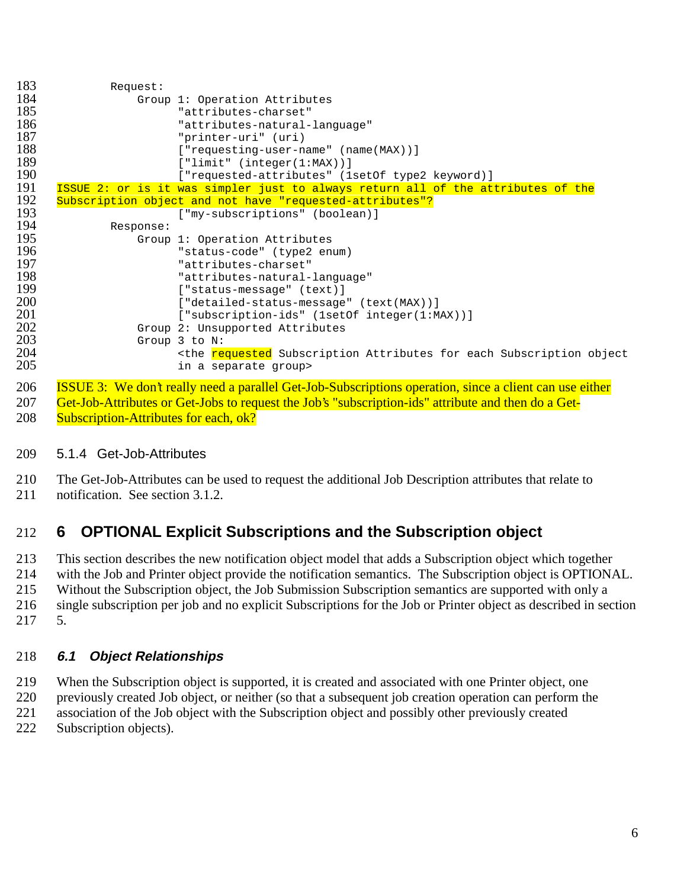| 183 | Request:  |                                                                                                                |
|-----|-----------|----------------------------------------------------------------------------------------------------------------|
| 184 |           | Group 1: Operation Attributes                                                                                  |
| 185 |           | "attributes-charset"                                                                                           |
| 186 |           | "attributes-natural-language"                                                                                  |
| 187 |           | "printer-uri" (uri)                                                                                            |
| 188 |           | ["requesting-user-name" (name(MAX))]                                                                           |
| 189 |           | ['limit" (integer(1:MAX))]                                                                                     |
| 190 |           | ["requested-attributes" (1setOf type2 keyword)]                                                                |
| 191 |           | ISSUE 2: or is it was simpler just to always return all of the attributes of the                               |
| 192 |           | Subscription object and not have "requested-attributes"?                                                       |
| 193 |           | ["my-subscriptions" (boolean)]                                                                                 |
| 194 | Response: |                                                                                                                |
| 195 |           | Group 1: Operation Attributes                                                                                  |
| 196 |           | "status-code" (type2 enum)                                                                                     |
| 197 |           | "attributes-charset"                                                                                           |
| 198 |           | "attributes-natural-language"                                                                                  |
| 199 |           | ["status-message" (text)]                                                                                      |
| 200 |           | ["detailed-status-message" (text(MAX))]                                                                        |
| 201 |           | ["subscription-ids" (1setOf integer(1:MAX))]                                                                   |
| 202 |           | Group 2: Unsupported Attributes                                                                                |
| 203 |           | Group $3$ to $N$ :                                                                                             |
| 204 |           | <the attributes="" each="" for="" object<="" requested="" subscription="" th=""></the>                         |
| 205 |           | in a separate group>                                                                                           |
| 206 |           | <b>ISSUE 3:</b> We don't really need a parallel Get-Job-Subscriptions operation, since a client can use either |

207 Get-Job-Attributes or Get-Jobs to request the Job's "subscription-ids" attribute and then do a Get-208 Subscription-Attributes for each, ok?

### 209 5.1.4 Get-Job-Attributes

210 The Get-Job-Attributes can be used to request the additional Job Description attributes that relate to

211 notification. See section 3.1.2.

# 212 **6 OPTIONAL Explicit Subscriptions and the Subscription object**

213 This section describes the new notification object model that adds a Subscription object which together with the Job and Printer object provide the notification semantics. The Subscription object is OPTION. with the Job and Printer object provide the notification semantics. The Subscription object is OPTIONAL. 215 Without the Subscription object, the Job Submission Subscription semantics are supported with only a 216 single subscription per job and no explicit Subscriptions for the Job or Printer object as described in section 217 5.

### 218 **6.1 Object Relationships**

219 When the Subscription object is supported, it is created and associated with one Printer object, one

220 previously created Job object, or neither (so that a subsequent job creation operation can perform the

221 association of the Job object with the Subscription object and possibly other previously created

222 Subscription objects).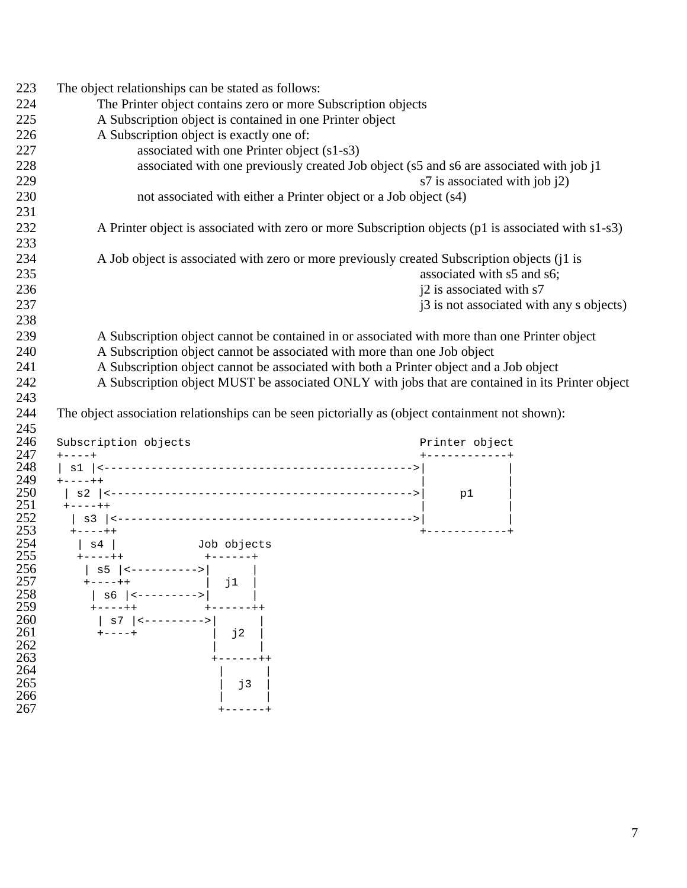| 223        | The object relationships can be stated as follows:                                                  |                                 |                                          |
|------------|-----------------------------------------------------------------------------------------------------|---------------------------------|------------------------------------------|
| 224        | The Printer object contains zero or more Subscription objects                                       |                                 |                                          |
| 225        | A Subscription object is contained in one Printer object                                            |                                 |                                          |
| 226        | A Subscription object is exactly one of:                                                            |                                 |                                          |
| 227        | associated with one Printer object (s1-s3)                                                          |                                 |                                          |
| 228        | associated with one previously created Job object (s5 and s6 are associated with job j1             |                                 |                                          |
| 229        |                                                                                                     | s7 is associated with job $(2)$ |                                          |
| 230        | not associated with either a Printer object or a Job object (s4)                                    |                                 |                                          |
| 231        |                                                                                                     |                                 |                                          |
| 232        | A Printer object is associated with zero or more Subscription objects (p1 is associated with s1-s3) |                                 |                                          |
| 233        |                                                                                                     |                                 |                                          |
| 234        | A Job object is associated with zero or more previously created Subscription objects (j1 is         |                                 |                                          |
| 235        |                                                                                                     | associated with s5 and s6;      |                                          |
| 236        |                                                                                                     | j2 is associated with s7        |                                          |
| 237        |                                                                                                     |                                 | j3 is not associated with any s objects) |
| 238        |                                                                                                     |                                 |                                          |
| 239        | A Subscription object cannot be contained in or associated with more than one Printer object        |                                 |                                          |
| 240        | A Subscription object cannot be associated with more than one Job object                            |                                 |                                          |
| 241        | A Subscription object cannot be associated with both a Printer object and a Job object              |                                 |                                          |
| 242        | A Subscription object MUST be associated ONLY with jobs that are contained in its Printer object    |                                 |                                          |
| 243        |                                                                                                     |                                 |                                          |
| 244        | The object association relationships can be seen pictorially as (object containment not shown):     |                                 |                                          |
| 245        |                                                                                                     |                                 |                                          |
| 246        | Subscription objects                                                                                | Printer object                  |                                          |
| 247        | $+ - - - +$                                                                                         | $+ - - - - - - - - - - +$       |                                          |
| 248<br>249 | $+ - - - + +$                                                                                       |                                 |                                          |
| 250        |                                                                                                     |                                 |                                          |
| 251        |                                                                                                     |                                 |                                          |
| 252        |                                                                                                     |                                 |                                          |
| 253        |                                                                                                     |                                 |                                          |
| 254<br>255 |                                                                                                     |                                 |                                          |
| 256        | $ $ s5 $ $ <---------->                                                                             |                                 |                                          |
| 257        |                                                                                                     |                                 |                                          |
| 258        | s6<br><--------->                                                                                   |                                 |                                          |
| 259        |                                                                                                     |                                 |                                          |
| 260<br>261 | $\mathbf{s}7$                                                                                       |                                 |                                          |
| 262        | 12                                                                                                  |                                 |                                          |
| 263        |                                                                                                     |                                 |                                          |
| 264        |                                                                                                     |                                 |                                          |
| 265        | j3                                                                                                  |                                 |                                          |
| 266<br>267 |                                                                                                     |                                 |                                          |
|            |                                                                                                     |                                 |                                          |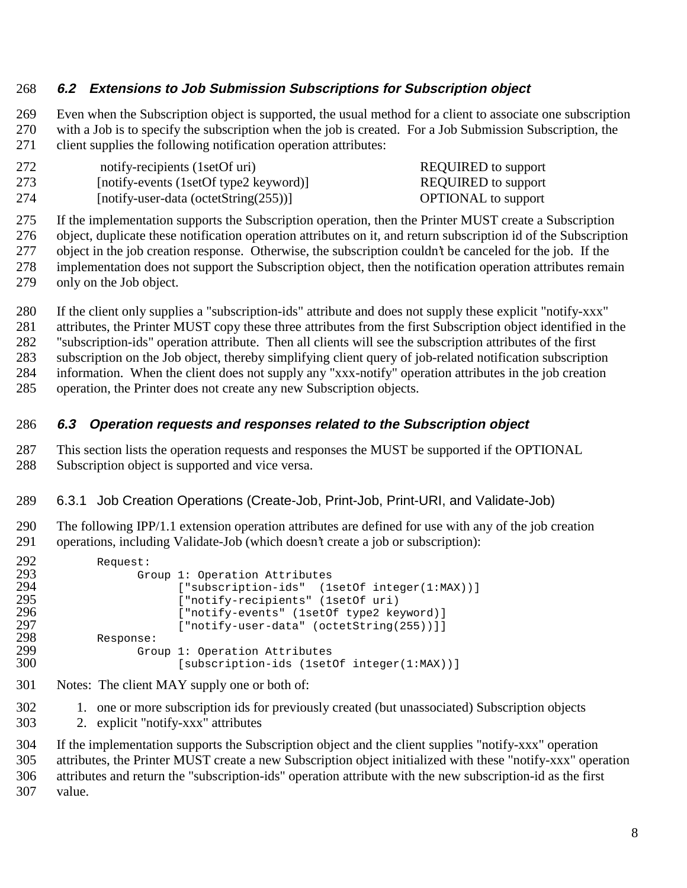### **6.2 Extensions to Job Submission Subscriptions for Subscription object**

 Even when the Subscription object is supported, the usual method for a client to associate one subscription with a Job is to specify the subscription when the job is created. For a Job Submission Subscription, the client supplies the following notification operation attributes:

| 272 | notify-recipients (1setOf uri)            | <b>REQUIRED</b> to support |
|-----|-------------------------------------------|----------------------------|
| 273 | [notify-events (1setOf type2 keyword)]    | <b>REQUIRED</b> to support |
| 274 | [notify-user-data (octetString $(255)$ )] | <b>OPTIONAL</b> to support |

If the implementation supports the Subscription operation, then the Printer MUST create a Subscription

object, duplicate these notification operation attributes on it, and return subscription id of the Subscription

277 object in the job creation response. Otherwise, the subscription couldn't be canceled for the job. If the<br>278 implementation does not support the Subscription object, then the notification operation attributes rema implementation does not support the Subscription object, then the notification operation attributes remain

only on the Job object.

If the client only supplies a "subscription-ids" attribute and does not supply these explicit "notify-xxx"

attributes, the Printer MUST copy these three attributes from the first Subscription object identified in the

"subscription-ids" operation attribute. Then all clients will see the subscription attributes of the first

subscription on the Job object, thereby simplifying client query of job-related notification subscription

information. When the client does not supply any "xxx-notify" operation attributes in the job creation

operation, the Printer does not create any new Subscription objects.

### **6.3 Operation requests and responses related to the Subscription object**

 This section lists the operation requests and responses the MUST be supported if the OPTIONAL Subscription object is supported and vice versa.

### 6.3.1 Job Creation Operations (Create-Job, Print-Job, Print-URI, and Validate-Job)

 The following IPP/1.1 extension operation attributes are defined for use with any of the job creation operations, including Validate-Job (which doesn't create a job or subscription):

| ["subscription-ids" (1setOf integer(1:MAX))] |
|----------------------------------------------|
|                                              |
| ["notify-events" (1setOf type2 keyword)]     |
| ["notify-user-data" (octetString(255))]]     |
|                                              |
|                                              |
| [subscription-ids (1setOf integer(1:MAX))]   |
|                                              |

- Notes: The client MAY supply one or both of:
- 1. one or more subscription ids for previously created (but unassociated) Subscription objects
- 2. explicit "notify-xxx" attributes

 If the implementation supports the Subscription object and the client supplies "notify-xxx" operation attributes, the Printer MUST create a new Subscription object initialized with these "notify-xxx" operation attributes and return the "subscription-ids" operation attribute with the new subscription-id as the first value.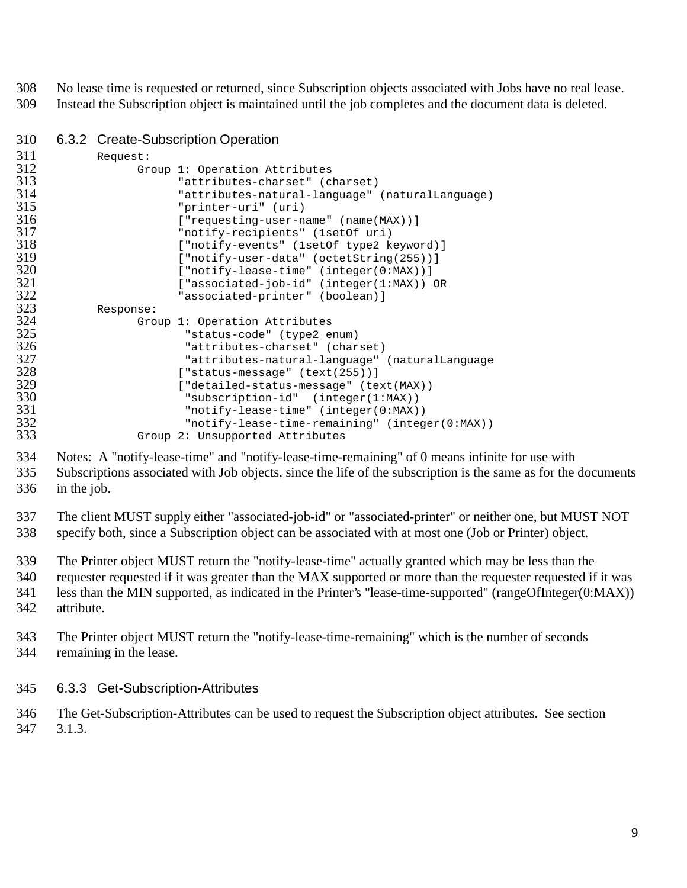No lease time is requested or returned, since Subscription objects associated with Jobs have no real lease. Instead the Subscription object is maintained until the job completes and the document data is deleted.

### 6.3.2 Create-Subscription Operation

| 311 | Request:  |                                                 |
|-----|-----------|-------------------------------------------------|
| 312 |           | Group 1: Operation Attributes                   |
| 313 |           | "attributes-charset" (charset)                  |
| 314 |           | "attributes-natural-language" (naturalLanguage) |
| 315 |           | "printer-uri" (uri)                             |
| 316 |           | $[ "requesting-user-name" (name(MAX)) ]$        |
| 317 |           | "notify-recipients" (1setOf uri)                |
| 318 |           | ["notify-events" (1setOf type2 keyword)]        |
| 319 |           | ["notify-user-data" (octetString(255))]         |
| 320 |           | ["notify-lease-time" (integer(0:MAX))]          |
| 321 |           | $[ "associated-job-id" (integer(1:MAX)) OR$     |
| 322 |           |                                                 |
|     |           | "associated-printer" (boolean)]                 |
| 323 | Response: |                                                 |
| 324 |           | Group 1: Operation Attributes                   |
| 325 |           | "status-code" (type2 enum)                      |
| 326 |           | "attributes-charset" (charset)                  |
| 327 |           | "attributes-natural-language" (naturalLanguage  |
| 328 |           | ["status-message" (text(255))]                  |
| 329 |           | ["detailed-status-message" (text(MAX))          |
| 330 |           | "subscription-id" (integer(1:MAX))              |
| 331 |           | " $notify-lease-time" (integer(0:MAX))$         |
| 332 |           | "notify-lease-time-remaining" (integer(0:MAX))  |
| 333 |           |                                                 |
|     |           | Group 2: Unsupported Attributes                 |

 Notes: A "notify-lease-time" and "notify-lease-time-remaining" of 0 means infinite for use with Subscriptions associated with Job objects, since the life of the subscription is the same as for the documents in the job.

 The client MUST supply either "associated-job-id" or "associated-printer" or neither one, but MUST NOT specify both, since a Subscription object can be associated with at most one (Job or Printer) object.

The Printer object MUST return the "notify-lease-time" actually granted which may be less than the

 requester requested if it was greater than the MAX supported or more than the requester requested if it was less than the MIN supported, as indicated in the Printer's "lease-time-supported" (rangeOfInteger(0:MAX)) attribute.

#### The Printer object MUST return the "notify-lease-time-remaining" which is the number of seconds remaining in the lease.

### 6.3.3 Get-Subscription-Attributes

 The Get-Subscription-Attributes can be used to request the Subscription object attributes. See section 3.1.3.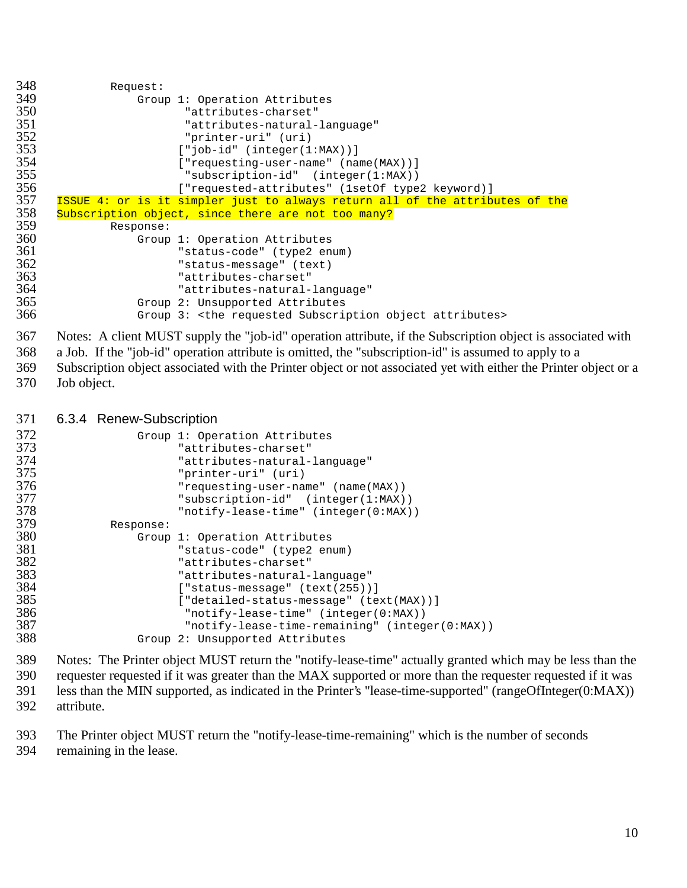```
348 Request:<br>349 Grou
349 Group 1: Operation Attributes
350                                 "attributes-charset"<br>351                                "attributes-natural-
351                               "attributes-natural-language"<br>352                            "printer-uri" (uri)
352 "printer-uri" (uri)
353 ["job-id" (integer(1:MAX))]
354 ["requesting-user-name" (name(MAX))]<br>355                        "subscription-id" (integer(1:MAX))
355 "subscription-id" (integer(1:MAX))
356 ["requested-attributes" (1setOf type2 keyword)]
357 ISSUE 4: or is it simpler just to always return all of the attributes of the 358Subscription object, since there are not too many?
359 Response:
360 Group 1: Operation Attributes
361 "status-code" (type2 enum)
362 "status-message" (text)
363 "attributes-charset"
364 "attributes-natural-language"
365 Group 2: Unsupported Attributes
                 Group 3: <the requested Subscription object attributes>
```
 Notes: A client MUST supply the "job-id" operation attribute, if the Subscription object is associated with a Job. If the "job-id" operation attribute is omitted, the "subscription-id" is assumed to apply to a Subscription object associated with the Printer object or not associated yet with either the Printer object or a Job object.

#### 6.3.4 Renew-Subscription

| 372<br>373<br>374<br>375<br>376 |           | Group 1: Operation Attributes<br>"attributes-charset"<br>"attributes-natural-language"<br>"printer-uri" (uri)<br>"requesting-user-name" (name(MAX)) |
|---------------------------------|-----------|-----------------------------------------------------------------------------------------------------------------------------------------------------|
| 377                             |           | "subscription-id" (integer(1:MAX))                                                                                                                  |
| 378                             |           | " $notify-lease-time" (integer(0:MAX))$                                                                                                             |
| 379                             | Response: |                                                                                                                                                     |
| 380                             |           | Group 1: Operation Attributes                                                                                                                       |
| 381                             |           | "status-code" (type2 enum)                                                                                                                          |
| 382                             |           | "attributes-charset"                                                                                                                                |
| 383                             |           | "attributes-natural-language"                                                                                                                       |
| 384                             |           | $[$ "status-message" $(text(255))]$                                                                                                                 |
| 385                             |           | ["detailed-status-message" (text(MAX))]                                                                                                             |
| 386                             |           | "notify-lease-time" (integer(0:MAX))                                                                                                                |
| 387                             |           | "notify-lease-time-remaining" (integer(0:MAX))                                                                                                      |
| 388                             |           | Group 2: Unsupported Attributes                                                                                                                     |
|                                 |           |                                                                                                                                                     |

 Notes: The Printer object MUST return the "notify-lease-time" actually granted which may be less than the requester requested if it was greater than the MAX supported or more than the requester requested if it was less than the MIN supported, as indicated in the Printer's "lease-time-supported" (rangeOfInteger(0:MAX)) attribute.

 The Printer object MUST return the "notify-lease-time-remaining" which is the number of seconds remaining in the lease.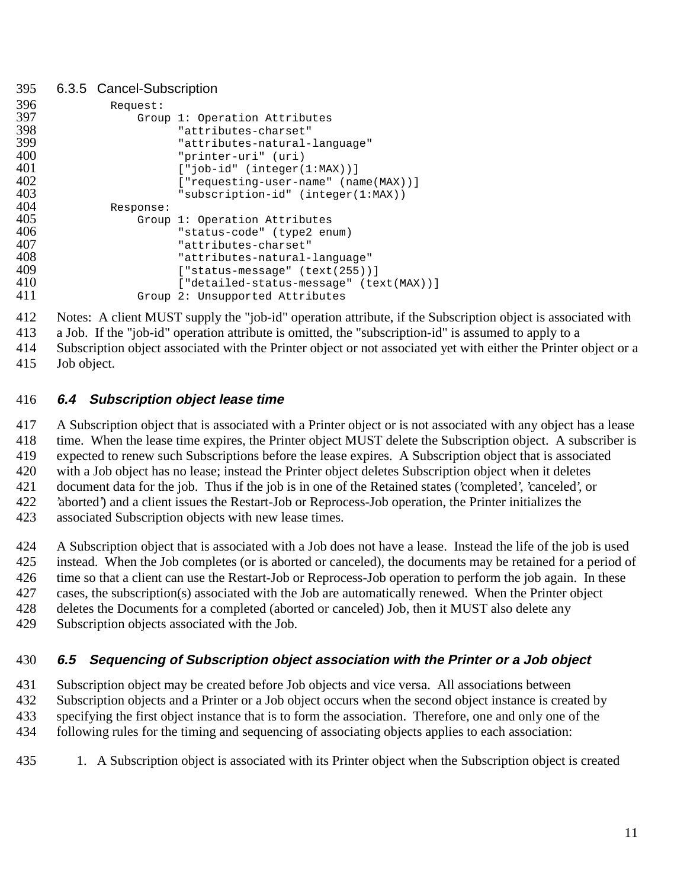#### 6.3.5 Cancel-Subscription

| 396 | Request:  |                                         |
|-----|-----------|-----------------------------------------|
| 397 |           | Group 1: Operation Attributes           |
| 398 |           | "attributes-charset"                    |
| 399 |           | "attributes-natural-language"           |
| 400 |           | "printer-uri" (uri)                     |
| 401 |           | $['job-id' (integer(1:MAX))]$           |
| 402 |           | ["requesting-user-name" (name(MAX))]    |
| 403 |           | "subscription-id" (integer(1:MAX))      |
| 404 | Response: |                                         |
| 405 |           | Group 1: Operation Attributes           |
| 406 |           | "status-code" (type2 enum)              |
| 407 |           | "attributes-charset"                    |
| 408 |           | "attributes-natural-language"           |
| 409 |           | $[$ "status-message" $(text (255))]$    |
| 410 |           | ["detailed-status-message" (text(MAX))] |
| 411 |           | Group 2: Unsupported Attributes         |

Notes: A client MUST supply the "job-id" operation attribute, if the Subscription object is associated with

a Job. If the "job-id" operation attribute is omitted, the "subscription-id" is assumed to apply to a

 Subscription object associated with the Printer object or not associated yet with either the Printer object or a Job object.

### **6.4 Subscription object lease time**

 A Subscription object that is associated with a Printer object or is not associated with any object has a lease time. When the lease time expires, the Printer object MUST delete the Subscription object. A subscriber is expected to renew such Subscriptions before the lease expires. A Subscription object that is associated with a Job object has no lease; instead the Printer object deletes Subscription object when it deletes document data for the job. Thus if the job is in one of the Retained states ('completed', 'canceled', or 'aborted') and a client issues the Restart-Job or Reprocess-Job operation, the Printer initializes the

associated Subscription objects with new lease times.

A Subscription object that is associated with a Job does not have a lease. Instead the life of the job is used

instead. When the Job completes (or is aborted or canceled), the documents may be retained for a period of

time so that a client can use the Restart-Job or Reprocess-Job operation to perform the job again. In these

cases, the subscription(s) associated with the Job are automatically renewed. When the Printer object

deletes the Documents for a completed (aborted or canceled) Job, then it MUST also delete any

Subscription objects associated with the Job.

### **6.5 Sequencing of Subscription object association with the Printer or a Job object**

 Subscription object may be created before Job objects and vice versa. All associations between Subscription objects and a Printer or a Job object occurs when the second object instance is created by specifying the first object instance that is to form the association. Therefore, one and only one of the following rules for the timing and sequencing of associating objects applies to each association:

1. A Subscription object is associated with its Printer object when the Subscription object is created